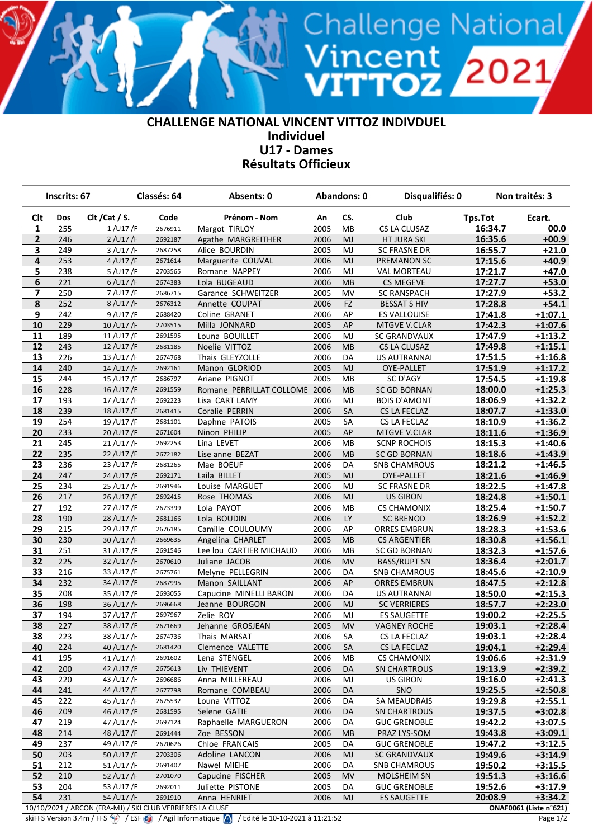## **CHALLENGE NATIONAL VINCENT VITTOZ INDIVDUEL Individuel U17 - Dames Résultats Officieux**

Vincent<br>VITTOZ 2021

|                         | Inscrits: 67 |                                                           | Classés: 64 | Absents: 0               | <b>Abandons: 0</b> |           | Disqualifiés: 0     |         | Non traités: 3         |
|-------------------------|--------------|-----------------------------------------------------------|-------------|--------------------------|--------------------|-----------|---------------------|---------|------------------------|
| <b>Clt</b>              | Dos          | Clt / Cat / S.                                            | Code        | Prénom - Nom             | An                 | CS.       | Club                | Tps.Tot | Ecart.                 |
| 1                       | 255          | 1/U17/F                                                   | 2676911     | Margot TIRLOY            | 2005               | MB        | CS LA CLUSAZ        | 16:34.7 | 00.0                   |
| 2                       | 246          | 2 / U17 / F                                               | 2692187     | Agathe MARGREITHER       | 2006               | MJ        | HT JURA SKI         | 16:35.6 | $+00.9$                |
| 3                       | 249          | 3/U17/F                                                   | 2687258     | Alice BOURDIN            | 2005               | MJ        | <b>SC FRASNE DR</b> | 16:55.7 | $+21.0$                |
| 4                       | 253          | 4 / U17 / F                                               | 2671614     | Marguerite COUVAL        | 2006               | MJ        | PREMANON SC         | 17:15.6 | $+40.9$                |
| 5                       | 238          | 5/U17/F                                                   | 2703565     | Romane NAPPEY            | 2006               | MJ        | <b>VAL MORTEAU</b>  | 17:21.7 | $+47.0$                |
| 6                       | 221          | $6/$ U17/F                                                | 2674383     | Lola BUGEAUD             | 2006               | MB        | <b>CS MEGEVE</b>    | 17:27.7 | $+53.0$                |
| $\overline{\mathbf{z}}$ | 250          | 7/U17/F                                                   | 2686715     | Garance SCHWEITZER       | 2005               | MV        | <b>SC RANSPACH</b>  | 17:27.9 | $+53.2$                |
| 8                       | 252          | 8/U17/F                                                   | 2676312     | Annette COUPAT           | 2006               | <b>FZ</b> | <b>BESSAT S HIV</b> | 17:28.8 | $+54.1$                |
| 9                       | 242          | 9/U17/F                                                   | 2688420     | Coline GRANET            | 2006               | AP        | <b>ES VALLOUISE</b> | 17:41.8 | $+1:07.1$              |
| 10                      | 229          | 10/U17/F                                                  | 2703515     | Milla JONNARD            | 2005               | AP        | MTGVE V.CLAR        | 17:42.3 | $+1:07.6$              |
| 11                      | 189          | 11/U17/F                                                  | 2691595     | Louna BOUILLET           | 2006               | MJ        | <b>SC GRANDVAUX</b> | 17:47.9 | $+1:13.2$              |
| 12                      | 243          | 12/U17/F                                                  | 2681185     | Noelie VITTOZ            | 2006               | MB        | CS LA CLUSAZ        | 17:49.8 | $+1:15.1$              |
| 13                      | 226          | 13/U17/F                                                  | 2674768     | Thais GLEYZOLLE          | 2006               | DA        | US AUTRANNAI        | 17:51.5 | $+1:16.8$              |
| 14                      | 240          | 14/U17/F                                                  | 2692161     | Manon GLORIOD            | 2005               | <b>MJ</b> | OYE-PALLET          | 17:51.9 | $+1:17.2$              |
| 15                      | 244          | 15/U17/F                                                  | 2686797     | Ariane PIGNOT            | 2005               | MВ        | SC D'AGY            | 17:54.5 | $+1:19.8$              |
| 16                      | 228          | 16/U17/F                                                  | 2691559     | Romane PERRILLAT COLLOME | 2006               | MB        | <b>SC GD BORNAN</b> | 18:00.0 | $+1:25.3$              |
| 17                      | 193          | 17/U17/F                                                  | 2692223     | Lisa CART LAMY           | 2006               | MJ        | <b>BOIS D'AMONT</b> | 18:06.9 | $+1:32.2$              |
| 18                      | 239          | 18/U17/F                                                  | 2681415     | Coralie PERRIN           | 2006               | SA        | CS LA FECLAZ        | 18:07.7 | $+1:33.0$              |
| 19                      | 254          | 19/U17/F                                                  | 2681101     | Daphne PATOIS            | 2005               | SA        | CS LA FECLAZ        | 18:10.9 | $+1:36.2$              |
| 20                      | 233          | 20/U17/F                                                  | 2671604     | Ninon PHILIP             | 2005               | AP        | MTGVE V.CLAR        | 18:11.6 | $+1:36.9$              |
| 21                      | 245          | 21/U17/F                                                  | 2692253     | Lina LEVET               | 2006               | MВ        | <b>SCNP ROCHOIS</b> | 18:15.3 | $+1:40.6$              |
| 22                      | 235          | 22/U17/F                                                  | 2672182     | Lise anne BEZAT          | 2006               | MB        | SC GD BORNAN        | 18:18.6 | $+1:43.9$              |
| 23                      | 236          | 23/U17/F                                                  | 2681265     | Mae BOEUF                | 2006               | DA        | <b>SNB CHAMROUS</b> | 18:21.2 | $+1:46.5$              |
| 24                      | 247          | 24/U17/F                                                  | 2692171     | Laila BILLET             | 2005               | MJ        | OYE-PALLET          | 18:21.6 | $+1:46.9$              |
| 25                      | 234          | 25/U17/F                                                  | 2691946     | Louise MARGUET           | 2006               | MJ        | <b>SC FRASNE DR</b> | 18:22.5 | $+1:47.8$              |
| 26                      | 217          | 26/U17/F                                                  | 2692415     | Rose THOMAS              | 2006               | MJ        | <b>US GIRON</b>     | 18:24.8 | $+1:50.1$              |
| 27                      | 192          | 27/U17/F                                                  | 2673399     | Lola PAYOT               | 2006               | MВ        | <b>CS CHAMONIX</b>  | 18:25.4 | $+1:50.7$              |
| 28                      | 190          | 28/U17/F                                                  | 2681166     | Lola BOUDIN              | 2006               | <b>LY</b> | <b>SC BRENOD</b>    | 18:26.9 | $+1:52.2$              |
| 29                      | 215          | 29 / U17 / F                                              | 2676185     | Camille COULOUMY         | 2006               | AP        | <b>ORRES EMBRUN</b> | 18:28.3 | $+1:53.6$              |
| 30                      | 230          | 30/U17/F                                                  | 2669635     | Angelina CHARLET         | 2005               | MB        | <b>CS ARGENTIER</b> | 18:30.8 | $+1:56.1$              |
| 31                      | 251          | 31/U17/F                                                  | 2691546     | Lee lou CARTIER MICHAUD  | 2006               | MВ        | SC GD BORNAN        | 18:32.3 | $+1:57.6$              |
| 32                      | 225          | 32/U17/F                                                  | 2670610     | Juliane JACOB            | 2006               | <b>MV</b> | <b>BASS/RUPT SN</b> | 18:36.4 | $+2:01.7$              |
| 33                      | 216          | 33/U17/F                                                  | 2675761     | Melyne PELLEGRIN         | 2006               | DA        | <b>SNB CHAMROUS</b> | 18:45.6 | $+2:10.9$              |
| 34                      | 232          | 34/U17/F                                                  | 2687995     | Manon SAILLANT           | 2006               | AP        | <b>ORRES EMBRUN</b> | 18:47.5 | $+2:12.8$              |
| 35                      | 208          | 35/U17/F                                                  | 2693055     | Capucine MINELLI BARON   | 2006               | DA        | US AUTRANNAI        | 18:50.0 | $+2:15.3$              |
| 36                      | 198          | 36/U17/F                                                  | 2696668     | Jeanne BOURGON           | 2006               | MJ        | <b>SC VERRIERES</b> | 18:57.7 | $+2:23.0$              |
| 37                      | 194          | 37/U17/F                                                  | 2697967     | Zelie ROY                | 2006               | MJ        | <b>ES SAUGETTE</b>  | 19:00.2 | $+2:25.5$              |
| 38                      | 227          | 38/U17/F                                                  | 2671669     | Jehanne GROSJEAN         | 2005               | <b>MV</b> | <b>VAGNEY ROCHE</b> | 19:03.1 | $+2:28.4$              |
| 38                      | 223          | 38/U17/F                                                  | 2674736     | Thais MARSAT             | 2006               | SA        | CS LA FECLAZ        | 19:03.1 | $+2:28.4$              |
| 40                      | 224          | 40/U17/F                                                  | 2681420     | Clemence VALETTE         | 2006               | SA        | CS LA FECLAZ        | 19:04.1 | $+2:29.4$              |
| 41                      | 195          | 41/U17/F                                                  | 2691602     | Lena STENGEL             | 2006               | MВ        | <b>CS CHAMONIX</b>  | 19:06.6 | $+2:31.9$              |
| 42                      | 200          | 42/U17/F                                                  | 2675613     | Liv THIEVENT             | 2006               | DA        | SN CHARTROUS        | 19:13.9 | $+2:39.2$              |
| 43                      | 220          | 43/U17/F                                                  | 2696686     | Anna MILLEREAU           | 2006               | MJ        | <b>US GIRON</b>     | 19:16.0 | $+2:41.3$              |
| 44                      | 241          | 44/U17/F                                                  | 2677798     | Romane COMBEAU           | 2006               | DA        | SNO                 | 19:25.5 | $+2:50.8$              |
| 45                      | 222          | 45/U17/F                                                  | 2675532     | Louna VITTOZ             | 2006               | DA        | SA MEAUDRAIS        | 19:29.8 | $+2:55.1$              |
| 46                      | 209          | 46/U17/F                                                  | 2681595     | Selene GATIE             | 2006               | DA        | SN CHARTROUS        | 19:37.5 | $+3:02.8$              |
| 47                      | 219          | 47/U17/F                                                  | 2697124     | Raphaelle MARGUERON      | 2006               | DA        | <b>GUC GRENOBLE</b> | 19:42.2 | $+3:07.5$              |
| 48                      | 214          | 48/U17/F                                                  | 2691444     | Zoe BESSON               | 2006               | MВ        | PRAZ LYS-SOM        | 19:43.8 | $+3:09.1$              |
| 49                      | 237          | 49 / U17 / F                                              | 2670626     | Chloe FRANCAIS           | 2005               | DA        | <b>GUC GRENOBLE</b> | 19:47.2 | $+3:12.5$              |
| 50                      | 203          | 50/U17/F                                                  | 2703306     | Adoline LANCON           | 2006               | MJ        | <b>SC GRANDVAUX</b> | 19:49.6 | $+3:14.9$              |
| 51                      | 212          | 51/U17/F                                                  | 2691407     | Nawel MIEHE              | 2006               | DA        | <b>SNB CHAMROUS</b> | 19:50.2 | $+3:15.5$              |
| 52                      | 210          | 52/U17/F                                                  | 2701070     | Capucine FISCHER         | 2005               | MV        | MOLSHEIM SN         | 19:51.3 | $+3:16.6$              |
| 53                      | 204          | 53/U17/F                                                  | 2692011     | Juliette PISTONE         | 2005               | DA        | <b>GUC GRENOBLE</b> | 19:52.6 | $+3:17.9$              |
| 54                      | 231          | 54/U17/F                                                  | 2691910     | Anna HENRIET             | 2006               | MJ        | <b>ES SAUGETTE</b>  | 20:08.9 | $+3:34.2$              |
|                         |              | 10/10/2021 / ARCON (FRA-MJ) / SKI CLUB VERRIERES LA CLUSE |             |                          |                    |           |                     |         | ONAF0061 (Liste n°621) |